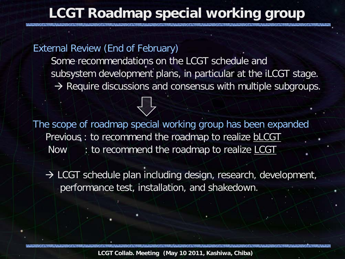# **LCGT Roadmap special working group**

External Review (End of February)

Some recommendations on the LCGT schedule and subsystem development plans, in particular at the iLCGT stage.  $\rightarrow$  Require discussions and consensus with multiple subgroups.

The scope of roadmap special working group has been expanded Previous : to recommend the roadmap to realize **bLCGT** Now : to recommend the roadmap to realize LCGT

 $\rightarrow$  LCGT schedule plan including design, research, development, performance test, installation, and shakedown.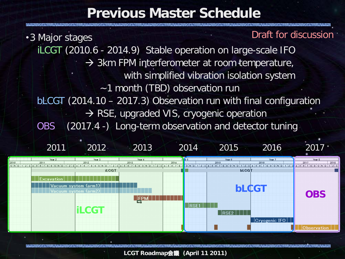## **Previous Master Schedule**

・3 Major stages iLCGT (2010.6 - 2014.9) Stable operation on large-scale IFO  $\rightarrow$  3km FPM interferometer at room temperature, with simplified vibration isolation system ~1 month (TBD) observation run bLCGT (2014.10 – 2017.3) Observation run with final configuration  $\rightarrow$  RSE, upgraded VIS, cryogenic operation OBS (2017.4 -) Long-term observation and detector tuning Draft for discussion



**LCGT Roadmap**会議 **(April 11 2011)**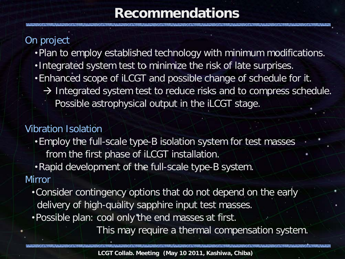# **Recommendations**

## On project

- ・Plan to employ established technology with minimum modifications.
- ・Integrated system test to minimize the risk of late surprises.
- ・Enhanced scope of iLCGT and possible change of schedule for it.
	- $\rightarrow$  Integrated system test to reduce risks and to compress schedule. Possible astrophysical output in the iLCGT stage.

### Vibration Isolation

- ・Employ the full-scale type-B isolation system for test masses from the first phase of iLCGT installation.
- ・Rapid development of the full-scale type-B system.

#### **Mirror**

- ・Consider contingency options that do not depend on the early delivery of high-quality sapphire input test masses.
- ・Possible plan: cool only the end masses at first.

This may require a thermal compensation system.